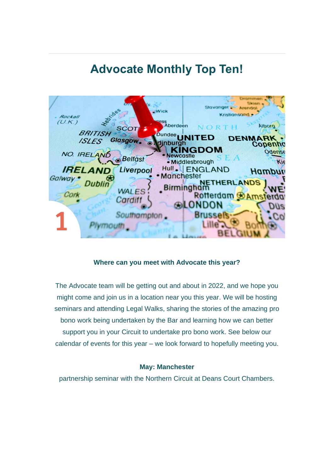# **Advocate Monthly Top Ten!**



### **Where can you meet with Advocate this year?**

The Advocate team will be getting out and about in 2022, and we hope you might come and join us in a location near you this year. We will be hosting seminars and attending Legal Walks, sharing the stories of the amazing pro bono work being undertaken by the Bar and learning how we can better support you in your Circuit to undertake pro bono work. See below our calendar of events for this year – we look forward to hopefully meeting you.

### **May: Manchester**

partnership seminar with the Northern Circuit at Deans Court Chambers.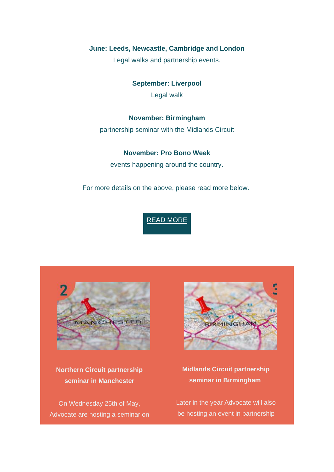### **June: Leeds, Newcastle, Cambridge and London**

Legal walks and partnership events.

**September: Liverpool** Legal walk

### **November: Birmingham**

partnership seminar with the Midlands Circuit

### **November: Pro Bono Week**

events happening around the country.

For more details on the above, please read more below.

### READ [MORE](https://weareadvocate.org.uk/news/where-can-you-meet-with-advocate-this-year.html)



**Northern Circuit partnership seminar in Manchester**

On Wednesday 25th of May, Advocate are hosting a seminar on



### **Midlands Circuit partnership seminar in Birmingham**

Later in the year Advocate will also be hosting an event in partnership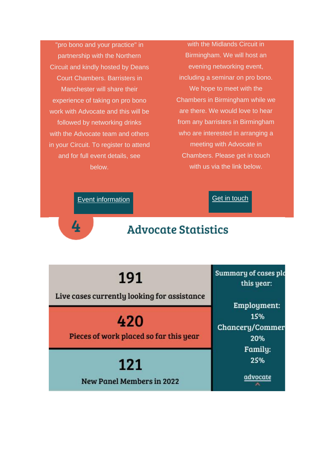"pro bono and your practice" in partnership with the Northern Circuit and kindly hosted by Deans Court Chambers. Barristers in Manchester will share their experience of taking on pro bono work with Advocate and this will be followed by networking drinks with the Advocate team and others in your Circuit. To register to attend and for full event details, see helow.

with the Midlands Circuit in Birmingham. We will host an evening networking event, including a seminar on pro bono. We hope to meet with the Chambers in Birmingham while we are there. We would love to hear from any barristers in Birmingham who are interested in arranging a meeting with Advocate in Chambers. Please get in touch with us via the link below.

**Get in touch** 

**Event information** 

4

## **Advocate Statistics**

191

Live cases currently looking for assistance

420

Pieces of work placed so far this year

121 **New Panel Members in 2022**  Summary of cases plo this year:

Employment: 15% Chancery/Commer 20% Family: 25%

advocate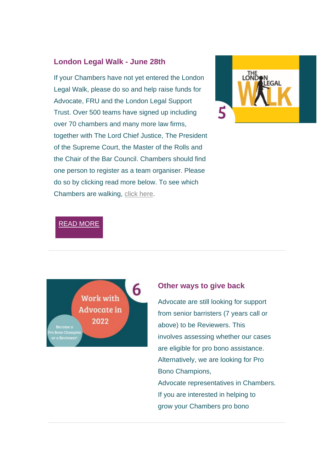### **London Legal Walk - June 28th**

If your Chambers have not yet entered the London Legal Walk, please do so and help raise funds for Advocate, FRU and the London Legal Support Trust. Over 500 teams have signed up including over 70 chambers and many more law firms, together with The Lord Chief Justice, The President of the Supreme Court, the Master of the Rolls and the Chair of the Bar Council. Chambers should find one person to register as a team organiser. Please do so by clicking read more below. To see which Chambers are walking, [click here.](https://londonlegalsupporttrust.org.uk/our-events/london-legal-walk-2022/london-legal-walk-2022-teams/)



### READ [MORE](https://www.tfaforms.com/4945459)



#### **Other ways to give back**

Advocate are still looking for support from senior barristers (7 years call or above) to be Reviewers. This involves assessing whether our cases are eligible for pro bono assistance. Alternatively, we are looking for Pro Bono Champions, Advocate representatives in Chambers. If you are interested in helping to grow your Chambers pro bono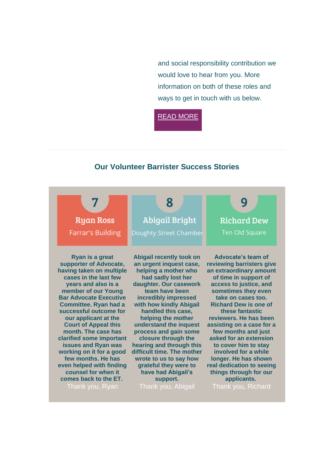and social responsibility contribution we would love to hear from you. More information on both of these roles and ways to get in touch with us below.

READ [MORE](https://weareadvocate.org.uk/news/working-with-advocate-in-2022.html)

### **Our Volunteer Barrister Success Stories**

| <b>Ryan Ross</b><br><b>Farrar's Building</b> | 8<br><b>Abigail Bright</b><br>Doughty Street Chamber | <b>Richard Dew</b><br>Ten Old Square |
|----------------------------------------------|------------------------------------------------------|--------------------------------------|
| Ryan is a great                              | <b>Abigail recently took on</b>                      | Advocate's team of                   |
| supporter of Advocate,                       | an urgent inquest case,                              | reviewing barristers give            |
| having taken on multiple                     | helping a mother who                                 | an extraordinary amount              |
| cases in the last few                        | had sadly lost her                                   | of time in support of                |
| years and also is a                          | daughter. Our casework                               | access to justice, and               |
| member of our Young                          | team have been                                       | sometimes they even                  |
| <b>Bar Advocate Executive</b>                | incredibly impressed                                 | take on cases too.                   |
| <b>Committee. Ryan had a</b>                 | with how kindly Abigail                              | <b>Richard Dew is one of</b>         |
| successful outcome for                       | handled this case,                                   | these fantastic                      |
| our applicant at the                         | helping the mother                                   | reviewers. He has been               |
| <b>Court of Appeal this</b>                  | understand the inquest                               | assisting on a case for a            |
| month. The case has                          | process and gain some                                | few months and just                  |
| clarified some important                     | closure through the                                  | asked for an extension               |
| <b>issues and Ryan was</b>                   | hearing and through this                             | to cover him to stay                 |
| working on it for a good                     | difficult time. The mother                           | involved for a while                 |
| few months. He has                           | wrote to us to say how                               | longer. He has shown                 |
| even helped with finding                     | grateful they were to                                | real dedication to seeing            |
| counsel for when it                          | have had Abigail's                                   | things through for our               |
| comes back to the ET.                        | support.                                             | applicants.                          |
| Thank you, Ryan                              | Thank you, Abigail                                   | Thank you, Richard                   |